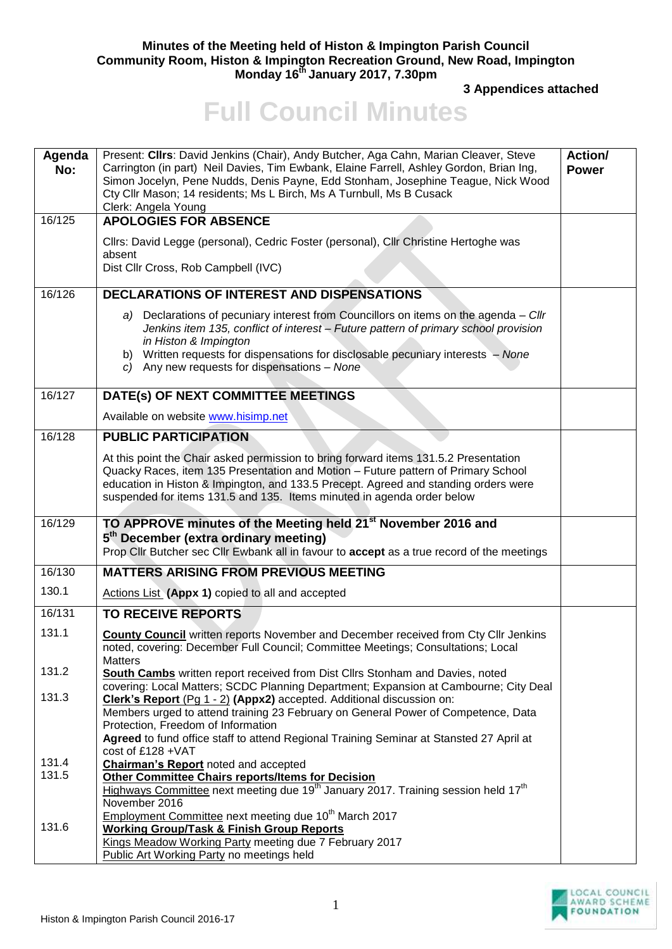## **Minutes of the Meeting held of Histon & Impington Parish Council Community Room, Histon & Impington Recreation Ground, New Road, Impington Monday 16th January 2017, 7.30pm**

**3 Appendices attached** 

## **Full Council Minutes**

| Agenda<br>No: | Present: Cllrs: David Jenkins (Chair), Andy Butcher, Aga Cahn, Marian Cleaver, Steve<br>Carrington (in part) Neil Davies, Tim Ewbank, Elaine Farrell, Ashley Gordon, Brian Ing,<br>Simon Jocelyn, Pene Nudds, Denis Payne, Edd Stonham, Josephine Teague, Nick Wood<br>Cty Cllr Mason; 14 residents; Ms L Birch, Ms A Turnbull, Ms B Cusack<br>Clerk: Angela Young | Action/<br><b>Power</b> |
|---------------|--------------------------------------------------------------------------------------------------------------------------------------------------------------------------------------------------------------------------------------------------------------------------------------------------------------------------------------------------------------------|-------------------------|
| 16/125        | <b>APOLOGIES FOR ABSENCE</b>                                                                                                                                                                                                                                                                                                                                       |                         |
|               | Cllrs: David Legge (personal), Cedric Foster (personal), Cllr Christine Hertoghe was<br>absent<br>Dist Cllr Cross, Rob Campbell (IVC)                                                                                                                                                                                                                              |                         |
| 16/126        | <b>DECLARATIONS OF INTEREST AND DISPENSATIONS</b>                                                                                                                                                                                                                                                                                                                  |                         |
|               | a) Declarations of pecuniary interest from Councillors on items on the agenda - Cllr<br>Jenkins item 135, conflict of interest - Future pattern of primary school provision<br>in Histon & Impington<br>b) Written requests for dispensations for disclosable pecuniary interests - None<br>c) Any new requests for dispensations - None                           |                         |
| 16/127        | DATE(s) OF NEXT COMMITTEE MEETINGS                                                                                                                                                                                                                                                                                                                                 |                         |
|               | Available on website www.hisimp.net                                                                                                                                                                                                                                                                                                                                |                         |
| 16/128        | <b>PUBLIC PARTICIPATION</b>                                                                                                                                                                                                                                                                                                                                        |                         |
|               | At this point the Chair asked permission to bring forward items 131.5.2 Presentation<br>Quacky Races, item 135 Presentation and Motion - Future pattern of Primary School<br>education in Histon & Impington, and 133.5 Precept. Agreed and standing orders were<br>suspended for items 131.5 and 135. Items minuted in agenda order below                         |                         |
| 16/129        | TO APPROVE minutes of the Meeting held 21 <sup>st</sup> November 2016 and<br>5 <sup>th</sup> December (extra ordinary meeting)<br>Prop Cllr Butcher sec Cllr Ewbank all in favour to accept as a true record of the meetings                                                                                                                                       |                         |
| 16/130        | <b>MATTERS ARISING FROM PREVIOUS MEETING</b>                                                                                                                                                                                                                                                                                                                       |                         |
| 130.1         | Actions List (Appx 1) copied to all and accepted                                                                                                                                                                                                                                                                                                                   |                         |
| 16/131        | <b>TO RECEIVE REPORTS</b>                                                                                                                                                                                                                                                                                                                                          |                         |
| 131.1         | <b>County Council</b> written reports November and December received from Cty Cllr Jenkins<br>noted, covering: December Full Council; Committee Meetings; Consultations; Local<br><b>Matters</b>                                                                                                                                                                   |                         |
| 131.2         | <b>South Cambs</b> written report received from Dist Cllrs Stonham and Davies, noted<br>covering: Local Matters; SCDC Planning Department; Expansion at Cambourne; City Deal                                                                                                                                                                                       |                         |
| 131.3         | Clerk's Report (Pg 1 - 2) (Appx2) accepted. Additional discussion on:<br>Members urged to attend training 23 February on General Power of Competence, Data<br>Protection, Freedom of Information<br>Agreed to fund office staff to attend Regional Training Seminar at Stansted 27 April at<br>cost of £128 + VAT                                                  |                         |
| 131.4         | <b>Chairman's Report</b> noted and accepted                                                                                                                                                                                                                                                                                                                        |                         |
| 131.5         | <b>Other Committee Chairs reports/Items for Decision</b><br>Highways Committee next meeting due 19 <sup>th</sup> January 2017. Training session held 17 <sup>th</sup><br>November 2016                                                                                                                                                                             |                         |
| 131.6         | Employment Committee next meeting due 10 <sup>th</sup> March 2017<br><b>Working Group/Task &amp; Finish Group Reports</b><br>Kings Meadow Working Party meeting due 7 February 2017<br>Public Art Working Party no meetings held                                                                                                                                   |                         |

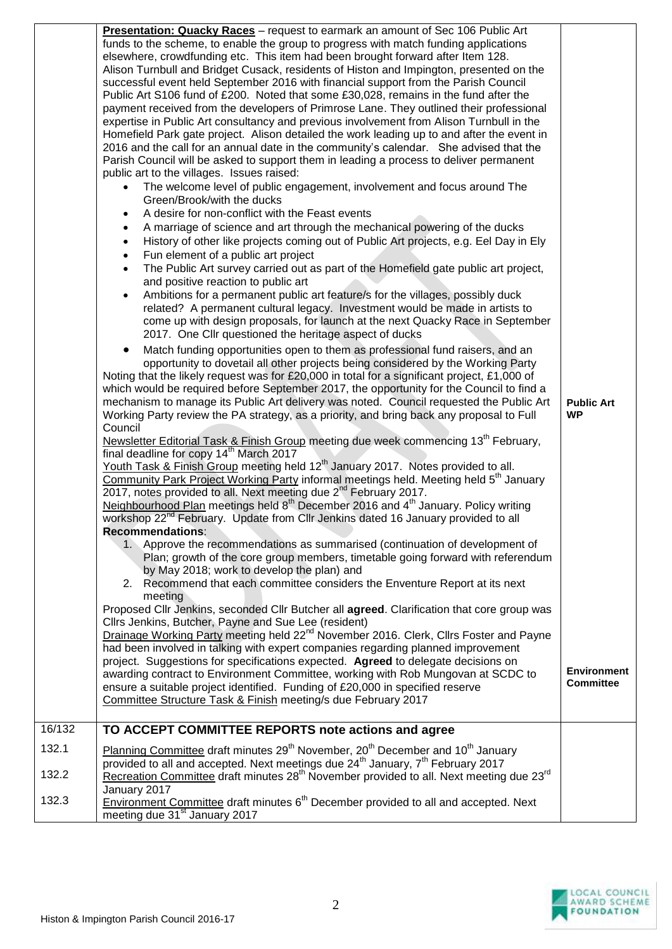|        | Presentation: Quacky Races - request to earmark an amount of Sec 106 Public Art<br>funds to the scheme, to enable the group to progress with match funding applications<br>elsewhere, crowdfunding etc. This item had been brought forward after Item 128.<br>Alison Turnbull and Bridget Cusack, residents of Histon and Impington, presented on the<br>successful event held September 2016 with financial support from the Parish Council<br>Public Art S106 fund of £200. Noted that some £30,028, remains in the fund after the<br>payment received from the developers of Primrose Lane. They outlined their professional<br>expertise in Public Art consultancy and previous involvement from Alison Turnbull in the<br>Homefield Park gate project. Alison detailed the work leading up to and after the event in<br>2016 and the call for an annual date in the community's calendar. She advised that the<br>Parish Council will be asked to support them in leading a process to deliver permanent<br>public art to the villages. Issues raised:<br>The welcome level of public engagement, involvement and focus around The<br>Green/Brook/with the ducks<br>A desire for non-conflict with the Feast events<br>A marriage of science and art through the mechanical powering of the ducks<br>History of other like projects coming out of Public Art projects, e.g. Eel Day in Ely<br>$\bullet$<br>Fun element of a public art project<br>$\bullet$<br>The Public Art survey carried out as part of the Homefield gate public art project,<br>$\bullet$<br>and positive reaction to public art<br>Ambitions for a permanent public art feature/s for the villages, possibly duck<br>$\bullet$<br>related? A permanent cultural legacy. Investment would be made in artists to<br>come up with design proposals, for launch at the next Quacky Race in September<br>2017. One Cllr questioned the heritage aspect of ducks<br>Match funding opportunities open to them as professional fund raisers, and an<br>opportunity to dovetail all other projects being considered by the Working Party<br>Noting that the likely request was for £20,000 in total for a significant project, £1,000 of<br>which would be required before September 2017, the opportunity for the Council to find a<br>mechanism to manage its Public Art delivery was noted. Council requested the Public Art<br>Working Party review the PA strategy, as a priority, and bring back any proposal to Full<br>Council<br>Newsletter Editorial Task & Finish Group meeting due week commencing 13 <sup>th</sup> February,<br>final deadline for copy 14 <sup>th</sup> March 2017<br>Youth Task & Finish Group meeting held 12 <sup>th</sup> January 2017. Notes provided to all.<br>Community Park Project Working Party informal meetings held. Meeting held 5 <sup>th</sup> January<br>2017, notes provided to all. Next meeting due 2 <sup>nd</sup> February 2017.<br>Neighbourhood Plan meetings held 8 <sup>th</sup> December 2016 and 4 <sup>th</sup> January. Policy writing<br>workshop 22 <sup>nd</sup> February. Update from Cllr Jenkins dated 16 January provided to all<br><b>Recommendations:</b><br>1. Approve the recommendations as summarised (continuation of development of<br>Plan; growth of the core group members, timetable going forward with referendum<br>by May 2018; work to develop the plan) and<br>2. Recommend that each committee considers the Enventure Report at its next<br>meeting<br>Proposed Cllr Jenkins, seconded Cllr Butcher all agreed. Clarification that core group was<br>Cllrs Jenkins, Butcher, Payne and Sue Lee (resident)<br>Drainage Working Party meeting held 22 <sup>nd</sup> November 2016. Clerk, Clirs Foster and Payne<br>had been involved in talking with expert companies regarding planned improvement<br>project. Suggestions for specifications expected. Agreed to delegate decisions on<br>awarding contract to Environment Committee, working with Rob Mungovan at SCDC to<br>ensure a suitable project identified. Funding of £20,000 in specified reserve<br>Committee Structure Task & Finish meeting/s due February 2017 | <b>Public Art</b><br><b>WP</b><br><b>Environment</b><br><b>Committee</b> |
|--------|-----------------------------------------------------------------------------------------------------------------------------------------------------------------------------------------------------------------------------------------------------------------------------------------------------------------------------------------------------------------------------------------------------------------------------------------------------------------------------------------------------------------------------------------------------------------------------------------------------------------------------------------------------------------------------------------------------------------------------------------------------------------------------------------------------------------------------------------------------------------------------------------------------------------------------------------------------------------------------------------------------------------------------------------------------------------------------------------------------------------------------------------------------------------------------------------------------------------------------------------------------------------------------------------------------------------------------------------------------------------------------------------------------------------------------------------------------------------------------------------------------------------------------------------------------------------------------------------------------------------------------------------------------------------------------------------------------------------------------------------------------------------------------------------------------------------------------------------------------------------------------------------------------------------------------------------------------------------------------------------------------------------------------------------------------------------------------------------------------------------------------------------------------------------------------------------------------------------------------------------------------------------------------------------------------------------------------------------------------------------------------------------------------------------------------------------------------------------------------------------------------------------------------------------------------------------------------------------------------------------------------------------------------------------------------------------------------------------------------------------------------------------------------------------------------------------------------------------------------------------------------------------------------------------------------------------------------------------------------------------------------------------------------------------------------------------------------------------------------------------------------------------------------------------------------------------------------------------------------------------------------------------------------------------------------------------------------------------------------------------------------------------------------------------------------------------------------------------------------------------------------------------------------------------------------------------------------------------------------------------------------------------------------------------------------------------------------------------------------------------------------------------------------------------------------------------------------------------------------------------------------------------------------------------------------------------------------------------------------------------------------------------------------------------------------------------------------------------------------------------------------------------------------------------------------------------|--------------------------------------------------------------------------|
|        |                                                                                                                                                                                                                                                                                                                                                                                                                                                                                                                                                                                                                                                                                                                                                                                                                                                                                                                                                                                                                                                                                                                                                                                                                                                                                                                                                                                                                                                                                                                                                                                                                                                                                                                                                                                                                                                                                                                                                                                                                                                                                                                                                                                                                                                                                                                                                                                                                                                                                                                                                                                                                                                                                                                                                                                                                                                                                                                                                                                                                                                                                                                                                                                                                                                                                                                                                                                                                                                                                                                                                                                                                                                                                                                                                                                                                                                                                                                                                                                                                                                                                                                                                                                         |                                                                          |
| 16/132 | TO ACCEPT COMMITTEE REPORTS note actions and agree                                                                                                                                                                                                                                                                                                                                                                                                                                                                                                                                                                                                                                                                                                                                                                                                                                                                                                                                                                                                                                                                                                                                                                                                                                                                                                                                                                                                                                                                                                                                                                                                                                                                                                                                                                                                                                                                                                                                                                                                                                                                                                                                                                                                                                                                                                                                                                                                                                                                                                                                                                                                                                                                                                                                                                                                                                                                                                                                                                                                                                                                                                                                                                                                                                                                                                                                                                                                                                                                                                                                                                                                                                                                                                                                                                                                                                                                                                                                                                                                                                                                                                                                      |                                                                          |
| 132.1  | Planning Committee draft minutes 29 <sup>th</sup> November, 20 <sup>th</sup> December and 10 <sup>th</sup> January<br>provided to all and accepted. Next meetings due $24^{th}$ January, $7^{th}$ February 2017                                                                                                                                                                                                                                                                                                                                                                                                                                                                                                                                                                                                                                                                                                                                                                                                                                                                                                                                                                                                                                                                                                                                                                                                                                                                                                                                                                                                                                                                                                                                                                                                                                                                                                                                                                                                                                                                                                                                                                                                                                                                                                                                                                                                                                                                                                                                                                                                                                                                                                                                                                                                                                                                                                                                                                                                                                                                                                                                                                                                                                                                                                                                                                                                                                                                                                                                                                                                                                                                                                                                                                                                                                                                                                                                                                                                                                                                                                                                                                         |                                                                          |
| 132.2  | Recreation Committee draft minutes 28 <sup>th</sup> November provided to all. Next meeting due 23 <sup>rd</sup><br>January 2017                                                                                                                                                                                                                                                                                                                                                                                                                                                                                                                                                                                                                                                                                                                                                                                                                                                                                                                                                                                                                                                                                                                                                                                                                                                                                                                                                                                                                                                                                                                                                                                                                                                                                                                                                                                                                                                                                                                                                                                                                                                                                                                                                                                                                                                                                                                                                                                                                                                                                                                                                                                                                                                                                                                                                                                                                                                                                                                                                                                                                                                                                                                                                                                                                                                                                                                                                                                                                                                                                                                                                                                                                                                                                                                                                                                                                                                                                                                                                                                                                                                         |                                                                          |
| 132.3  | Environment Committee draft minutes 6 <sup>th</sup> December provided to all and accepted. Next<br>meeting due 31 <sup>st</sup> January 2017                                                                                                                                                                                                                                                                                                                                                                                                                                                                                                                                                                                                                                                                                                                                                                                                                                                                                                                                                                                                                                                                                                                                                                                                                                                                                                                                                                                                                                                                                                                                                                                                                                                                                                                                                                                                                                                                                                                                                                                                                                                                                                                                                                                                                                                                                                                                                                                                                                                                                                                                                                                                                                                                                                                                                                                                                                                                                                                                                                                                                                                                                                                                                                                                                                                                                                                                                                                                                                                                                                                                                                                                                                                                                                                                                                                                                                                                                                                                                                                                                                            |                                                                          |

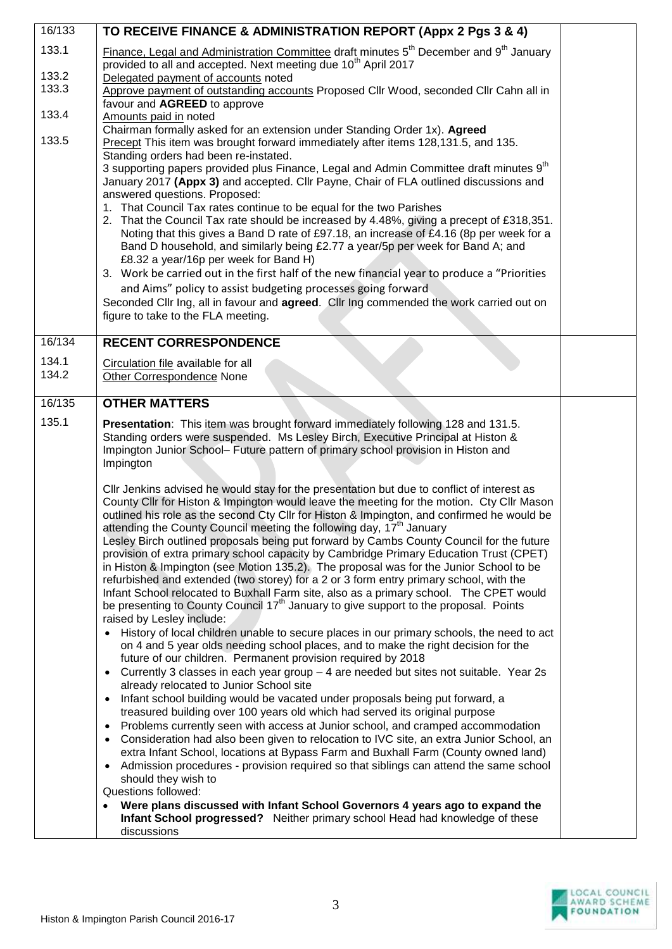| 16/133 | TO RECEIVE FINANCE & ADMINISTRATION REPORT (Appx 2 Pgs 3 & 4)                                                                                                                                                                                              |  |
|--------|------------------------------------------------------------------------------------------------------------------------------------------------------------------------------------------------------------------------------------------------------------|--|
| 133.1  | Finance, Legal and Administration Committee draft minutes 5 <sup>th</sup> December and 9 <sup>th</sup> January<br>provided to all and accepted. Next meeting due 10 <sup>th</sup> April 2017                                                               |  |
| 133.2  | Delegated payment of accounts noted                                                                                                                                                                                                                        |  |
| 133.3  | Approve payment of outstanding accounts Proposed Cllr Wood, seconded Cllr Cahn all in                                                                                                                                                                      |  |
|        | favour and AGREED to approve                                                                                                                                                                                                                               |  |
| 133.4  | Amounts paid in noted                                                                                                                                                                                                                                      |  |
|        | Chairman formally asked for an extension under Standing Order 1x). Agreed                                                                                                                                                                                  |  |
| 133.5  | Precept This item was brought forward immediately after items 128,131.5, and 135.<br>Standing orders had been re-instated.                                                                                                                                 |  |
|        | 3 supporting papers provided plus Finance, Legal and Admin Committee draft minutes 9 <sup>th</sup><br>January 2017 (Appx 3) and accepted. Cllr Payne, Chair of FLA outlined discussions and<br>answered questions. Proposed:                               |  |
|        | 1. That Council Tax rates continue to be equal for the two Parishes<br>2. That the Council Tax rate should be increased by 4.48%, giving a precept of £318,351.<br>Noting that this gives a Band D rate of £97.18, an increase of £4.16 (8p per week for a |  |
|        | Band D household, and similarly being £2.77 a year/5p per week for Band A; and<br>£8.32 a year/16p per week for Band H)                                                                                                                                    |  |
|        | 3. Work be carried out in the first half of the new financial year to produce a "Priorities<br>and Aims" policy to assist budgeting processes going forward                                                                                                |  |
|        | Seconded Cllr Ing, all in favour and <b>agreed</b> . Cllr Ing commended the work carried out on<br>figure to take to the FLA meeting.                                                                                                                      |  |
| 16/134 | <b>RECENT CORRESPONDENCE</b>                                                                                                                                                                                                                               |  |
| 134.1  | Circulation file available for all                                                                                                                                                                                                                         |  |
| 134.2  | Other Correspondence None                                                                                                                                                                                                                                  |  |
| 16/135 | <b>OTHER MATTERS</b>                                                                                                                                                                                                                                       |  |
| 135.1  | Presentation: This item was brought forward immediately following 128 and 131.5.                                                                                                                                                                           |  |
|        | Standing orders were suspended. Ms Lesley Birch, Executive Principal at Histon &<br>Impington Junior School- Future pattern of primary school provision in Histon and<br>Impington                                                                         |  |
|        | Cllr Jenkins advised he would stay for the presentation but due to conflict of interest as                                                                                                                                                                 |  |
|        | County Cllr for Histon & Impington would leave the meeting for the motion. Cty Cllr Mason<br>outlined his role as the second Cty Cllr for Histon & Impington, and confirmed he would be                                                                    |  |
|        | attending the County Council meeting the following day, 17 <sup>th</sup> January                                                                                                                                                                           |  |
|        | Lesley Birch outlined proposals being put forward by Cambs County Council for the future                                                                                                                                                                   |  |
|        | provision of extra primary school capacity by Cambridge Primary Education Trust (CPET)                                                                                                                                                                     |  |
|        | in Histon & Impington (see Motion 135.2). The proposal was for the Junior School to be                                                                                                                                                                     |  |
|        | refurbished and extended (two storey) for a 2 or 3 form entry primary school, with the                                                                                                                                                                     |  |
|        | Infant School relocated to Buxhall Farm site, also as a primary school. The CPET would                                                                                                                                                                     |  |
|        | be presenting to County Council 17 <sup>th</sup> January to give support to the proposal. Points                                                                                                                                                           |  |
|        | raised by Lesley include:                                                                                                                                                                                                                                  |  |
|        | • History of local children unable to secure places in our primary schools, the need to act<br>on 4 and 5 year olds needing school places, and to make the right decision for the<br>future of our children. Permanent provision required by 2018          |  |
|        | Currently 3 classes in each year group $-4$ are needed but sites not suitable. Year 2s<br>$\bullet$                                                                                                                                                        |  |
|        | already relocated to Junior School site                                                                                                                                                                                                                    |  |
|        | Infant school building would be vacated under proposals being put forward, a<br>$\bullet$                                                                                                                                                                  |  |
|        | treasured building over 100 years old which had served its original purpose                                                                                                                                                                                |  |
|        | Problems currently seen with access at Junior school, and cramped accommodation<br>$\bullet$                                                                                                                                                               |  |
|        | Consideration had also been given to relocation to IVC site, an extra Junior School, an                                                                                                                                                                    |  |
|        | extra Infant School, locations at Bypass Farm and Buxhall Farm (County owned land)                                                                                                                                                                         |  |
|        | Admission procedures - provision required so that siblings can attend the same school<br>$\bullet$<br>should they wish to                                                                                                                                  |  |
|        | Questions followed:                                                                                                                                                                                                                                        |  |
|        | Were plans discussed with Infant School Governors 4 years ago to expand the<br>Infant School progressed? Neither primary school Head had knowledge of these<br>discussions                                                                                 |  |
|        |                                                                                                                                                                                                                                                            |  |

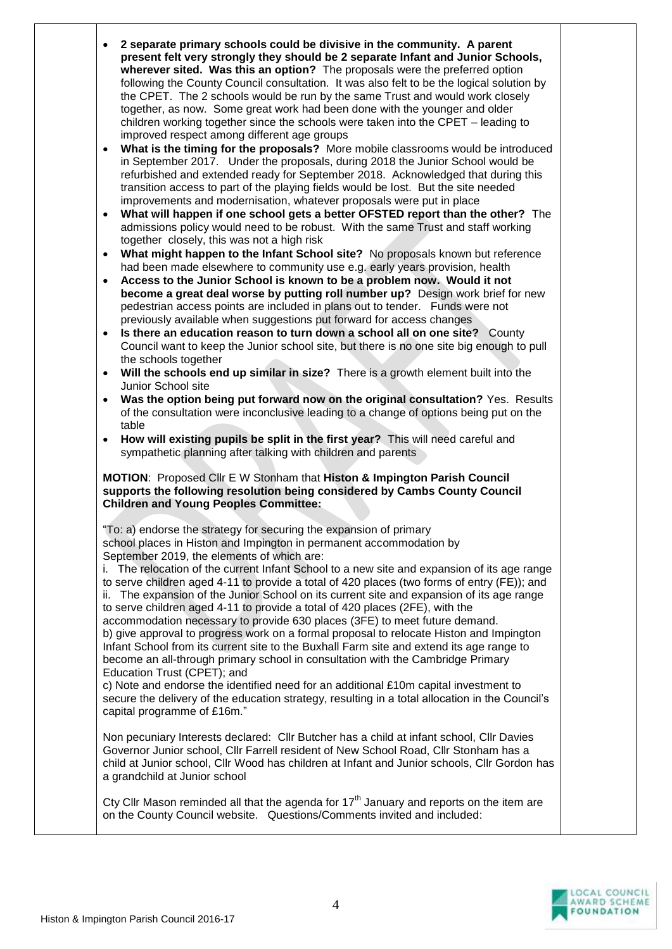|           | present felt very strongly they should be 2 separate Infant and Junior Schools,<br>wherever sited. Was this an option? The proposals were the preferred option<br>following the County Council consultation. It was also felt to be the logical solution by<br>the CPET. The 2 schools would be run by the same Trust and would work closely<br>together, as now. Some great work had been done with the younger and older<br>children working together since the schools were taken into the CPET - leading to                                  |
|-----------|--------------------------------------------------------------------------------------------------------------------------------------------------------------------------------------------------------------------------------------------------------------------------------------------------------------------------------------------------------------------------------------------------------------------------------------------------------------------------------------------------------------------------------------------------|
| $\bullet$ | improved respect among different age groups<br>What is the timing for the proposals? More mobile classrooms would be introduced<br>in September 2017. Under the proposals, during 2018 the Junior School would be<br>refurbished and extended ready for September 2018. Acknowledged that during this<br>transition access to part of the playing fields would be lost. But the site needed                                                                                                                                                      |
| $\bullet$ | improvements and modernisation, whatever proposals were put in place<br>What will happen if one school gets a better OFSTED report than the other? The<br>admissions policy would need to be robust. With the same Trust and staff working                                                                                                                                                                                                                                                                                                       |
| $\bullet$ | together closely, this was not a high risk<br>What might happen to the Infant School site? No proposals known but reference<br>had been made elsewhere to community use e.g. early years provision, health                                                                                                                                                                                                                                                                                                                                       |
| $\bullet$ | Access to the Junior School is known to be a problem now. Would it not<br>become a great deal worse by putting roll number up? Design work brief for new<br>pedestrian access points are included in plans out to tender. Funds were not                                                                                                                                                                                                                                                                                                         |
| $\bullet$ | previously available when suggestions put forward for access changes<br>Is there an education reason to turn down a school all on one site? County<br>Council want to keep the Junior school site, but there is no one site big enough to pull<br>the schools together                                                                                                                                                                                                                                                                           |
| $\bullet$ | Will the schools end up similar in size? There is a growth element built into the                                                                                                                                                                                                                                                                                                                                                                                                                                                                |
| $\bullet$ | Junior School site<br>Was the option being put forward now on the original consultation? Yes. Results<br>of the consultation were inconclusive leading to a change of options being put on the<br>table                                                                                                                                                                                                                                                                                                                                          |
| $\bullet$ | How will existing pupils be split in the first year? This will need careful and<br>sympathetic planning after talking with children and parents                                                                                                                                                                                                                                                                                                                                                                                                  |
|           | MOTION: Proposed Cllr E W Stonham that Histon & Impington Parish Council<br>supports the following resolution being considered by Cambs County Council<br><b>Children and Young Peoples Committee:</b>                                                                                                                                                                                                                                                                                                                                           |
|           | "To: a) endorse the strategy for securing the expansion of primary<br>school places in Histon and Impington in permanent accommodation by<br>September 2019, the elements of which are:                                                                                                                                                                                                                                                                                                                                                          |
|           | i. The relocation of the current Infant School to a new site and expansion of its age range<br>to serve children aged 4-11 to provide a total of 420 places (two forms of entry (FE)); and<br>ii. The expansion of the Junior School on its current site and expansion of its age range<br>to serve children aged 4-11 to provide a total of 420 places (2FE), with the<br>accommodation necessary to provide 630 places (3FE) to meet future demand.<br>b) give approval to progress work on a formal proposal to relocate Histon and Impington |
|           | Infant School from its current site to the Buxhall Farm site and extend its age range to<br>become an all-through primary school in consultation with the Cambridge Primary<br>Education Trust (CPET); and                                                                                                                                                                                                                                                                                                                                       |
|           | c) Note and endorse the identified need for an additional £10m capital investment to<br>secure the delivery of the education strategy, resulting in a total allocation in the Council's<br>capital programme of £16m."                                                                                                                                                                                                                                                                                                                           |
|           |                                                                                                                                                                                                                                                                                                                                                                                                                                                                                                                                                  |
|           | Non pecuniary Interests declared: Cllr Butcher has a child at infant school, Cllr Davies<br>Governor Junior school, Cllr Farrell resident of New School Road, Cllr Stonham has a<br>child at Junior school, Cllr Wood has children at Infant and Junior schools, Cllr Gordon has<br>a grandchild at Junior school                                                                                                                                                                                                                                |

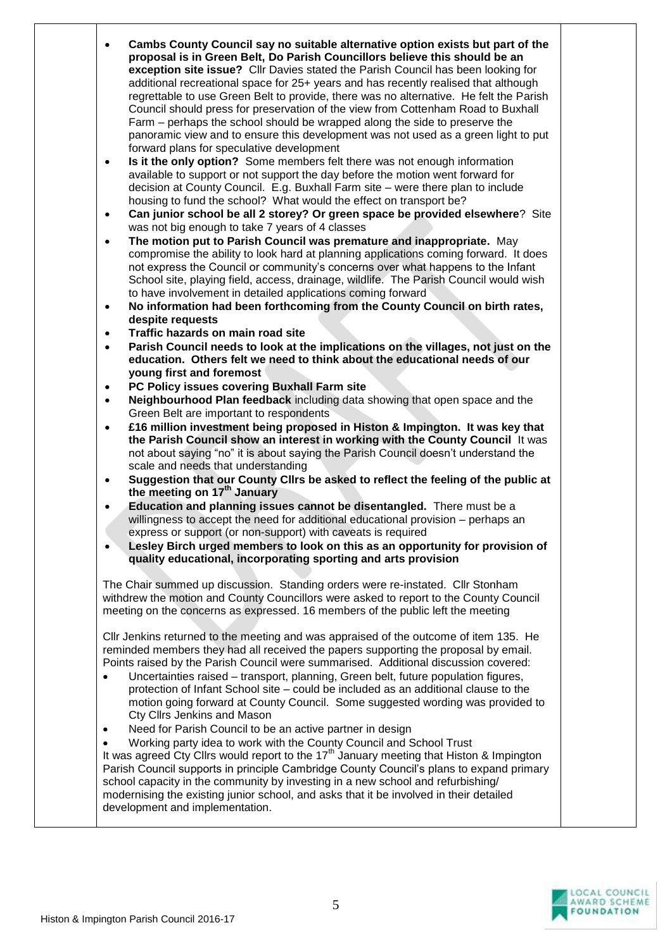| $\bullet$ | Cambs County Council say no suitable alternative option exists but part of the<br>proposal is in Green Belt, Do Parish Councillors believe this should be an<br>exception site issue? Cllr Davies stated the Parish Council has been looking for<br>additional recreational space for 25+ years and has recently realised that although<br>regrettable to use Green Belt to provide, there was no alternative. He felt the Parish<br>Council should press for preservation of the view from Cottenham Road to Buxhall<br>Farm – perhaps the school should be wrapped along the side to preserve the<br>panoramic view and to ensure this development was not used as a green light to put<br>forward plans for speculative development |  |
|-----------|----------------------------------------------------------------------------------------------------------------------------------------------------------------------------------------------------------------------------------------------------------------------------------------------------------------------------------------------------------------------------------------------------------------------------------------------------------------------------------------------------------------------------------------------------------------------------------------------------------------------------------------------------------------------------------------------------------------------------------------|--|
| $\bullet$ | Is it the only option? Some members felt there was not enough information<br>available to support or not support the day before the motion went forward for<br>decision at County Council. E.g. Buxhall Farm site - were there plan to include<br>housing to fund the school? What would the effect on transport be?                                                                                                                                                                                                                                                                                                                                                                                                                   |  |
| $\bullet$ | Can junior school be all 2 storey? Or green space be provided elsewhere? Site<br>was not big enough to take 7 years of 4 classes                                                                                                                                                                                                                                                                                                                                                                                                                                                                                                                                                                                                       |  |
| $\bullet$ | The motion put to Parish Council was premature and inappropriate. May<br>compromise the ability to look hard at planning applications coming forward. It does<br>not express the Council or community's concerns over what happens to the Infant<br>School site, playing field, access, drainage, wildlife. The Parish Council would wish<br>to have involvement in detailed applications coming forward                                                                                                                                                                                                                                                                                                                               |  |
| $\bullet$ | No information had been forthcoming from the County Council on birth rates,<br>despite requests                                                                                                                                                                                                                                                                                                                                                                                                                                                                                                                                                                                                                                        |  |
| $\bullet$ | Traffic hazards on main road site                                                                                                                                                                                                                                                                                                                                                                                                                                                                                                                                                                                                                                                                                                      |  |
| $\bullet$ | Parish Council needs to look at the implications on the villages, not just on the<br>education. Others felt we need to think about the educational needs of our<br>young first and foremost                                                                                                                                                                                                                                                                                                                                                                                                                                                                                                                                            |  |
| $\bullet$ | PC Policy issues covering Buxhall Farm site                                                                                                                                                                                                                                                                                                                                                                                                                                                                                                                                                                                                                                                                                            |  |
| $\bullet$ | Neighbourhood Plan feedback including data showing that open space and the                                                                                                                                                                                                                                                                                                                                                                                                                                                                                                                                                                                                                                                             |  |
|           | Green Belt are important to respondents                                                                                                                                                                                                                                                                                                                                                                                                                                                                                                                                                                                                                                                                                                |  |
| $\bullet$ | £16 million investment being proposed in Histon & Impington. It was key that<br>the Parish Council show an interest in working with the County Council It was<br>not about saying "no" it is about saying the Parish Council doesn't understand the<br>scale and needs that understanding                                                                                                                                                                                                                                                                                                                                                                                                                                              |  |
| $\bullet$ | Suggestion that our County Cllrs be asked to reflect the feeling of the public at<br>the meeting on 17 <sup>th</sup> January                                                                                                                                                                                                                                                                                                                                                                                                                                                                                                                                                                                                           |  |
| $\bullet$ | Education and planning issues cannot be disentangled. There must be a                                                                                                                                                                                                                                                                                                                                                                                                                                                                                                                                                                                                                                                                  |  |
|           | willingness to accept the need for additional educational provision – perhaps an<br>express or support (or non-support) with caveats is required                                                                                                                                                                                                                                                                                                                                                                                                                                                                                                                                                                                       |  |
|           | Lesley Birch urged members to look on this as an opportunity for provision of<br>quality educational, incorporating sporting and arts provision                                                                                                                                                                                                                                                                                                                                                                                                                                                                                                                                                                                        |  |
|           | The Chair summed up discussion. Standing orders were re-instated. Cllr Stonham<br>withdrew the motion and County Councillors were asked to report to the County Council<br>meeting on the concerns as expressed. 16 members of the public left the meeting                                                                                                                                                                                                                                                                                                                                                                                                                                                                             |  |
| $\bullet$ | CIIr Jenkins returned to the meeting and was appraised of the outcome of item 135. He<br>reminded members they had all received the papers supporting the proposal by email.<br>Points raised by the Parish Council were summarised. Additional discussion covered:<br>Uncertainties raised – transport, planning, Green belt, future population figures,<br>protection of Infant School site – could be included as an additional clause to the<br>motion going forward at County Council. Some suggested wording was provided to<br>Cty Cllrs Jenkins and Mason<br>Need for Parish Council to be an active partner in design                                                                                                         |  |
|           | Working party idea to work with the County Council and School Trust<br>It was agreed Cty Clirs would report to the 17 <sup>th</sup> January meeting that Histon & Impington<br>Parish Council supports in principle Cambridge County Council's plans to expand primary<br>school capacity in the community by investing in a new school and refurbishing/<br>modernising the existing junior school, and asks that it be involved in their detailed<br>development and implementation.                                                                                                                                                                                                                                                 |  |